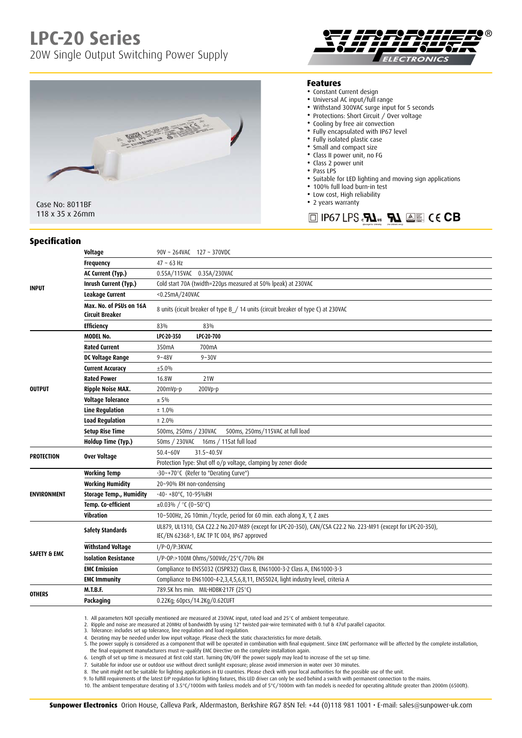# **LPC-20 Series**

20W Single Output Switching Power Supply





Case No: 8011BF 118 x 35 x 26mm

#### **Features**

- Constant Current design
- Universal AC input/full range
- Withstand 300VAC surge input for 5 seconds
- Protections: Short Circuit / Over voltage
- Cooling by free air convection
- Fully encapsulated with IP67 level
- Fully isolated plastic case
- Small and compact size
- Class II power unit, no FG
- Class 2 power unit
- Pass LPS
- Suitable for LED lighting and moving sign applications
- 100% full load burn-in test
- Low cost, High reliability
- 2 years warranty

 $\Box$  IP67 LPS  $\mathbf{R}$ <sub>1</sub>  $\mathbf{R}$   $\mathbf{A}$   $\mathbf{A}$   $\mathbf{B}$   $\mathbf{C}$   $\mathbf{C}$   $\mathbf{B}$ 

#### **Specification**

| <b>INPUT</b>            | Voltage                                           | 90V ~ 264VAC 127 ~ 370VDC                                                                                                                                       |
|-------------------------|---------------------------------------------------|-----------------------------------------------------------------------------------------------------------------------------------------------------------------|
|                         | <b>Frequency</b>                                  | $47 - 63$ Hz                                                                                                                                                    |
|                         | AC Current (Typ.)                                 | 0.55A/115VAC 0.35A/230VAC                                                                                                                                       |
|                         | Inrush Current (Typ.)                             | Cold start 70A (twidth=220µs measured at 50% lpeak) at 230VAC                                                                                                   |
|                         | <b>Leakage Current</b>                            | <0.25mA/240VAC                                                                                                                                                  |
|                         | Max. No. of PSUs on 16A<br><b>Circuit Breaker</b> | 8 units (cicuit breaker of type B / 14 units (circuit breaker of type C) at 230VAC                                                                              |
|                         | <b>Efficiency</b>                                 | 83%<br>83%                                                                                                                                                      |
| <b>OUTPUT</b>           | <b>MODEL No.</b>                                  | LPC-20-350<br>LPC-20-700                                                                                                                                        |
|                         | <b>Rated Current</b>                              | 700mA<br>350 <sub>m</sub> A                                                                                                                                     |
|                         | DC Voltage Range                                  | $9 - 48V$<br>$9 - 30V$                                                                                                                                          |
|                         | <b>Current Accuracy</b>                           | ±5.0%                                                                                                                                                           |
|                         | <b>Rated Power</b>                                | 16.8W<br>21W                                                                                                                                                    |
|                         | <b>Ripple Noise MAX.</b>                          | 200Vp-p<br>200mVp-p                                                                                                                                             |
|                         | <b>Voltage Tolerance</b>                          | ± 5%                                                                                                                                                            |
|                         | <b>Line Regulation</b>                            | ± 1.0%                                                                                                                                                          |
|                         | <b>Load Regulation</b>                            | ± 2.0%                                                                                                                                                          |
|                         | <b>Setup Rise Time</b>                            | 500ms, 250ms / 230VAC<br>500ms, 250ms/115VAC at full load                                                                                                       |
|                         | Holdup Time (Typ.)                                | 16ms / 115at full load<br>50ms / 230VAC                                                                                                                         |
| <b>PROTECTION</b>       | <b>Over Voltage</b>                               | 31.5~40.5V<br>$50.4 - 60V$                                                                                                                                      |
|                         |                                                   | Protection Type: Shut off o/p voltage, clamping by zener diode                                                                                                  |
| <b>ENVIRONMENT</b>      | <b>Working Temp</b>                               | -30~+70°C (Refer to "Derating Curve")                                                                                                                           |
|                         | <b>Working Humidity</b>                           | 20~90% RH non-condensing                                                                                                                                        |
|                         | <b>Storage Temp., Humidity</b>                    | -40- +80°C, 10-95%RH                                                                                                                                            |
|                         | Temp. Co-efficient                                | $\pm 0.03\%$ / °C (0~50°C)                                                                                                                                      |
|                         | <b>Vibration</b>                                  | 10~500Hz, 2G 10min./1cycle, period for 60 min. each along X, Y, Z axes                                                                                          |
| <b>SAFETY &amp; EMC</b> | <b>Safety Standards</b>                           | UL879, UL1310, CSA C22.2 No.207-M89 (except for LPC-20-350), CAN/CSA C22.2 No. 223-M91 (except for LPC-20-350),<br>IEC/EN 62368-1, EAC TP TC 004, IP67 approved |
|                         | <b>Withstand Voltage</b>                          | $I/P-O/P:3KVAC$                                                                                                                                                 |
|                         | <b>Isolation Resistance</b>                       | I/P-0P:>100M 0hms/500Vdc/25°C/70% RH                                                                                                                            |
|                         | <b>EMC Emission</b>                               | Compliance to EN55032 (CISPR32) Class B, EN61000-3-2 Class A, EN61000-3-3                                                                                       |
|                         | <b>EMC Immunity</b>                               | Compliance to EN61000-4-2,3,4,5,6,8,11, EN55024, light industry level, criteria A                                                                               |
| <b>OTHERS</b>           | <b>M.T.B.F.</b>                                   | 789.5K hrs min. MIL-HDBK-217F (25°C)                                                                                                                            |
|                         | Packaging                                         | 0.22Kg; 60pcs/14.2Kg/0.62CUFT                                                                                                                                   |
|                         |                                                   |                                                                                                                                                                 |

1. All parameters NOT specially mentioned are measured at 230VAC input, rated load and 25°C of ambient temperature.<br>2. Ripple and noise are measured at 20MHz of bandwidth by using 12" twisted pair-wire terminated with 0.1u

3. Tolerance: includes set up tolerance, line regulation and load regulation. 4. Derating may be needed under low input voltage. Please check the static characteristics for more details.

5. The power supply is considered as a component that will be operated in combination with final equipment. Since EMC performance will be affected by the complete installation,

the final equipment manufacturers must re-qualify EMC Directive on the complete installation again.

6. Length of set up time is measured at first cold start. Turning ON/OFF the power supply may lead to increase of the set up time.

7. Suitable for indoor use or outdoor use without direct sunlight exposure; please avoid immersion in water over 30 minutes.<br>8. The unit might not be suitable for lighting applications in EU countries. Please check with

9. To fulfill requirements of the latest ErP regulation for lighting fixtures, this LED driver can only be used behind a switch with permanent connection to the mains.

10. The ambient temperature derating of 3.5°C/1000m with fanless models and of 5°C/1000m with fan models is needed for operating altitude greater than 2000m (6500ft).